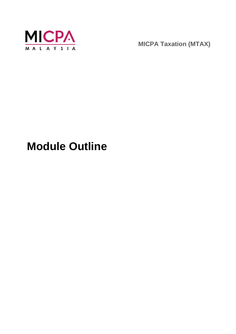

**MICPA Taxation (MTAX)**

# **Module Outline**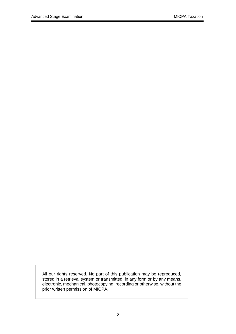All our rights reserved. No part of this publication may be reproduced, stored in a retrieval system or transmitted, in any form or by any means, electronic, mechanical, photocopying, recording or otherwise, without the prior written permission of MICPA.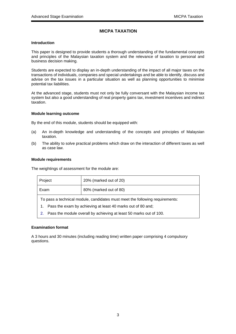# **MICPA TAXATION**

### **Introduction**

This paper is designed to provide students a thorough understanding of the fundamental concepts and principles of the Malaysian taxation system and the relevance of taxation to personal and business decision making.

Students are expected to display an in-depth understanding of the impact of all major taxes on the transactions of individuals, companies and special undertakings and be able to identify, discuss and advise on the tax issues in a particular situation as well as planning opportunities to minimise potential tax liabilities.

At the advanced stage, students must not only be fully conversant with the Malaysian income tax system but also a good understanding of real property gains tax, investment incentives and indirect taxation.

#### **Module learning outcome**

By the end of this module, students should be equipped with:

- (a) An in-depth knowledge and understanding of the concepts and principles of Malaysian taxation.
- (b) The ability to solve practical problems which draw on the interaction of different taxes as well as case law.

#### **Module requirements**

The weightings of assessment for the module are:

| Project                                                                      | 20% (marked out of 20) |  |
|------------------------------------------------------------------------------|------------------------|--|
| Exam                                                                         | 80% (marked out of 80) |  |
| To pass a technical module, candidates must meet the following requirements: |                        |  |
| Pass the exam by achieving at least 40 marks out of 80 and;<br>1.            |                        |  |
| Pass the module overall by achieving at least 50 marks out of 100.<br>2.     |                        |  |

## **Examination format**

A 3 hours and 30 minutes (including reading time) written paper comprising 4 compulsory questions.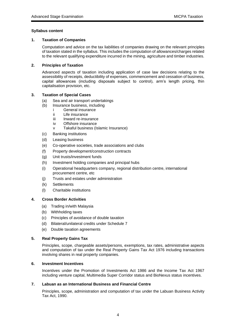### **Syllabus content**

### **1. Taxation of Companies**

Computation and advice on the tax liabilities of companies drawing on the relevant principles of taxation stated in the syllabus. This includes the computation of allowances/charges related to the relevant qualifying expenditure incurred in the mining, agriculture and timber industries.

## **2. Principles of Taxation**

Advanced aspects of taxation including application of case law decisions relating to the assessibility of receipts, deductibility of expenses, commencement and cessation of business, capital allowances (including disposals subject to control), arm's length pricing, thin capitalisation provision, etc.

#### **3. Taxation of Special Cases**

- (a) Sea and air transport undertakings
- (b) Insurance business, including
	- i General insurance
	- ii Life insurance
	- iii Inward re-insurance
	- iv Offshore insurance
	- v Takaful business (Islamic Insurance)
- (c) Banking institutions
- (d) Leasing business
- (e) Co-operative societies, trade associations and clubs
- (f) Property development/construction contracts
- (g) Unit trusts/investment funds
- (h) Investment holding companies and principal hubs
- (i) Operational headquarters company, regional distribution centre, international procurement centre, etc
- (j) Trusts and estates under administration
- (k) Settlements
- (l) Charitable institutions

## **4. Cross Border Activities**

- (a) Trading in/with Malaysia
- (b) Withholding taxes
- (c) Principles of avoidance of double taxation
- (d) Bilateral/unilateral credits under Schedule 7
- (e) Double taxation agreements

#### **5. Real Property Gains Tax**

Principles, scope, chargeable assets/persons, exemptions, tax rates, administrative aspects and computation of tax under the Real Property Gains Tax Act 1976 including transactions involving shares in real property companies.

#### **6. Investment Incentives**

Incentives under the Promotion of Investments Act 1986 and the Income Tax Act 1967 including venture capital, Multimedia Super Corridor status and BioNexus status incentives.

#### **7. Labuan as an International Business and Financial Centre**

Principles, scope, administration and computation of tax under the Labuan Business Activity Tax Act, 1990.